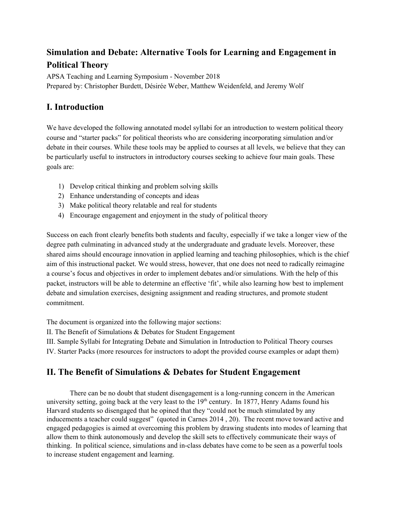# **Simulation and Debate: Alternative Tools for Learning and Engagement in Political Theory**

APSA Teaching and Learning Symposium - November 2018 Prepared by: Christopher Burdett, Désirée Weber, Matthew Weidenfeld, and Jeremy Wolf

# **I. Introduction**

We have developed the following annotated model syllabi for an introduction to western political theory course and "starter packs" for political theorists who are considering incorporating simulation and/or debate in their courses. While these tools may be applied to courses at all levels, we believe that they can be particularly useful to instructors in introductory courses seeking to achieve four main goals. These goals are:

- 1) Develop critical thinking and problem solving skills
- 2) Enhance understanding of concepts and ideas
- 3) Make political theory relatable and real for students
- 4) Encourage engagement and enjoyment in the study of political theory

Success on each front clearly benefits both students and faculty, especially if we take a longer view of the degree path culminating in advanced study at the undergraduate and graduate levels. Moreover, these shared aims should encourage innovation in applied learning and teaching philosophies, which is the chief aim of this instructional packet. We would stress, however, that one does not need to radically reimagine a course's focus and objectives in order to implement debates and/or simulations. With the help of this packet, instructors will be able to determine an effective 'fit', while also learning how best to implement debate and simulation exercises, designing assignment and reading structures, and promote student commitment.

The document is organized into the following major sections:

II. The Benefit of Simulations & Debates for Student Engagement

III. Sample Syllabi for Integrating Debate and Simulation in Introduction to Political Theory courses

IV. Starter Packs (more resources for instructors to adopt the provided course examples or adapt them)

# **II. The Benefit of Simulations & Debates for Student Engagement**

There can be no doubt that student disengagement is a long-running concern in the American university setting, going back at the very least to the  $19<sup>th</sup>$  century. In 1877, Henry Adams found his Harvard students so disengaged that he opined that they "could not be much stimulated by any inducements a teacher could suggest" (quoted in Carnes 2014, 20). The recent move toward active and engaged pedagogies is aimed at overcoming this problem by drawing students into modes of learning that allow them to think autonomously and develop the skill sets to effectively communicate their ways of thinking. In political science, simulations and in-class debates have come to be seen as a powerful tools to increase student engagement and learning.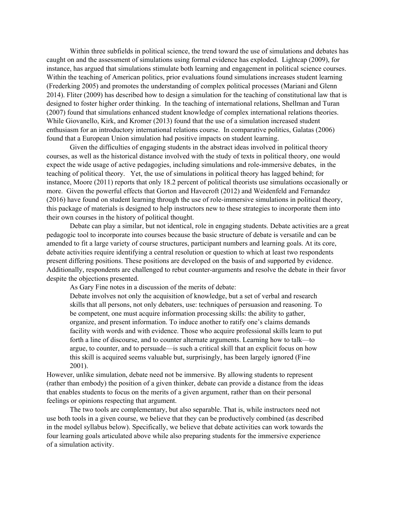Within three subfields in political science, the trend toward the use of simulations and debates has caught on and the assessment of simulations using formal evidence has exploded. Lightcap (2009), for instance, has argued that simulations stimulate both learning and engagement in political science courses. Within the teaching of American politics, prior evaluations found simulations increases student learning (Frederking 2005) and promotes the understanding of complex political processes (Mariani and Glenn 2014). Fliter (2009) has described how to design a simulation for the teaching of constitutional law that is designed to foster higher order thinking. In the teaching of international relations, Shellman and Turan (2007) found that simulations enhanced student knowledge of complex international relations theories. While Giovanello, Kirk, and Kromer (2013) found that the use of a simulation increased student enthusiasm for an introductory international relations course. In comparative politics, Galatas (2006) found that a European Union simulation had positive impacts on student learning.

Given the difficulties of engaging students in the abstract ideas involved in political theory courses, as well as the historical distance involved with the study of texts in political theory, one would expect the wide usage of active pedagogies, including simulations and role-immersive debates, in the teaching of political theory. Yet, the use of simulations in political theory has lagged behind; for instance, Moore (2011) reports that only 18.2 percent of political theorists use simulations occasionally or more. Given the powerful effects that Gorton and Havecroft (2012) and Weidenfeld and Fernandez (2016) have found on student learning through the use of role-immersive simulations in political theory, this package of materials is designed to help instructors new to these strategies to incorporate them into their own courses in the history of political thought.

Debate can play a similar, but not identical, role in engaging students. Debate activities are a great pedagogic tool to incorporate into courses because the basic structure of debate is versatile and can be amended to fit a large variety of course structures, participant numbers and learning goals. At its core, debate activities require identifying a central resolution or question to which at least two respondents present differing positions. These positions are developed on the basis of and supported by evidence. Additionally, respondents are challenged to rebut counter-arguments and resolve the debate in their favor despite the objections presented.

As Gary Fine notes in a discussion of the merits of debate:

Debate involves not only the acquisition of knowledge, but a set of verbal and research skills that all persons, not only debaters, use: techniques of persuasion and reasoning. To be competent, one must acquire information processing skills: the ability to gather, organize, and present information. To induce another to ratify one's claims demands facility with words and with evidence. Those who acquire professional skills learn to put forth a line of discourse, and to counter alternate arguments. Learning how to talk—to argue, to counter, and to persuade—is such a critical skill that an explicit focus on how this skill is acquired seems valuable but, surprisingly, has been largely ignored (Fine 2001).

However, unlike simulation, debate need not be immersive. By allowing students to represent (rather than embody) the position of a given thinker, debate can provide a distance from the ideas that enables students to focus on the merits of a given argument, rather than on their personal feelings or opinions respecting that argument.

The two tools are complementary, but also separable. That is, while instructors need not use both tools in a given course, we believe that they can be productively combined (as described in the model syllabus below). Specifically, we believe that debate activities can work towards the four learning goals articulated above while also preparing students for the immersive experience of a simulation activity.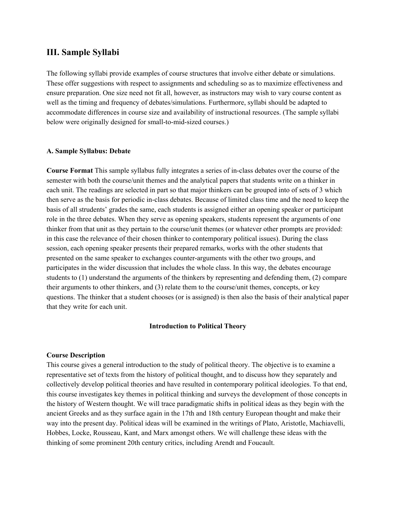### **III. Sample Syllabi**

The following syllabi provide examples of course structures that involve either debate or simulations. These offer suggestions with respect to assignments and scheduling so as to maximize effectiveness and ensure preparation. One size need not fit all, however, as instructors may wish to vary course content as well as the timing and frequency of debates/simulations. Furthermore, syllabi should be adapted to accommodate differences in course size and availability of instructional resources. (The sample syllabi below were originally designed for small-to-mid-sized courses.)

#### **A. Sample Syllabus: Debate**

**Course Format** This sample syllabus fully integrates a series of in-class debates over the course of the semester with both the course/unit themes and the analytical papers that students write on a thinker in each unit. The readings are selected in part so that major thinkers can be grouped into of sets of 3 which then serve as the basis for periodic in-class debates. Because of limited class time and the need to keep the basis of all strudents' grades the same, each students is assigned either an opening speaker or participant role in the three debates. When they serve as opening speakers, students represent the arguments of one thinker from that unit as they pertain to the course/unit themes (or whatever other prompts are provided: in this case the relevance of their chosen thinker to contemporary political issues). During the class session, each opening speaker presents their prepared remarks, works with the other students that presented on the same speaker to exchanges counter-arguments with the other two groups, and participates in the wider discussion that includes the whole class. In this way, the debates encourage students to (1) understand the arguments of the thinkers by representing and defending them, (2) compare their arguments to other thinkers, and (3) relate them to the course/unit themes, concepts, or key questions. The thinker that a student chooses (or is assigned) is then also the basis of their analytical paper that they write for each unit.

#### **Introduction to Political Theory**

#### **Course Description**

This course gives a general introduction to the study of political theory. The objective is to examine a representative set of texts from the history of political thought, and to discuss how they separately and collectively develop political theories and have resulted in contemporary political ideologies. To that end, this course investigates key themes in political thinking and surveys the development of those concepts in the history of Western thought. We will trace paradigmatic shifts in political ideas as they begin with the ancient Greeks and as they surface again in the 17th and 18th century European thought and make their way into the present day. Political ideas will be examined in the writings of Plato, Aristotle, Machiavelli, Hobbes, Locke, Rousseau, Kant, and Marx amongst others. We will challenge these ideas with the thinking of some prominent 20th century critics, including Arendt and Foucault.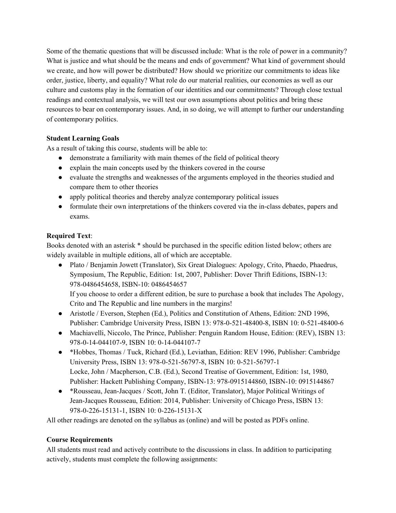Some of the thematic questions that will be discussed include: What is the role of power in a community? What is justice and what should be the means and ends of government? What kind of government should we create, and how will power be distributed? How should we prioritize our commitments to ideas like order, justice, liberty, and equality? What role do our material realities, our economies as well as our culture and customs play in the formation of our identities and our commitments? Through close textual readings and contextual analysis, we will test our own assumptions about politics and bring these resources to bear on contemporary issues. And, in so doing, we will attempt to further our understanding of contemporary politics.

#### **Student Learning Goals**

As a result of taking this course, students will be able to:

- demonstrate a familiarity with main themes of the field of political theory
- explain the main concepts used by the thinkers covered in the course
- evaluate the strengths and weaknesses of the arguments employed in the theories studied and compare them to other theories
- apply political theories and thereby analyze contemporary political issues
- formulate their own interpretations of the thinkers covered via the in-class debates, papers and exams.

#### **Required Text**:

Books denoted with an asterisk \* should be purchased in the specific edition listed below; others are widely available in multiple editions, all of which are acceptable.

● Plato / Benjamin Jowett (Translator), Six Great Dialogues: Apology, Crito, Phaedo, Phaedrus, Symposium, The Republic, Edition: 1st, 2007, Publisher: Dover Thrift Editions, ISBN-13: 978-0486454658, ISBN-10: 0486454657

If you choose to order a different edition, be sure to purchase a book that includes The Apology, Crito and The Republic and line numbers in the margins!

- Aristotle / Everson, Stephen (Ed.), Politics and Constitution of Athens, Edition: 2ND 1996, Publisher: Cambridge University Press, ISBN 13: 978-0-521-48400-8, ISBN 10: 0-521-48400-6
- Machiavelli, Niccolo, The Prince, Publisher: Penguin Random House, Edition: (REV), ISBN 13: 978-0-14-044107-9, ISBN 10: 0-14-044107-7
- \*Hobbes, Thomas / Tuck, Richard (Ed.), Leviathan, Edition: REV 1996, Publisher: Cambridge University Press, ISBN 13: 978-0-521-56797-8, ISBN 10: 0-521-56797-1 Locke, John / Macpherson, C.B. (Ed.), Second Treatise of Government, Edition: 1st, 1980, Publisher: Hackett Publishing Company, ISBN-13: 978-0915144860, ISBN-10: 0915144867
- \*Rousseau, Jean-Jacques / Scott, John T. (Editor, Translator), Major Political Writings of Jean-Jacques Rousseau, Edition: 2014, Publisher: University of Chicago Press, ISBN 13: 978-0-226-15131-1, ISBN 10: 0-226-15131-X

All other readings are denoted on the syllabus as (online) and will be posted as PDFs online.

#### **Course Requirements**

All students must read and actively contribute to the discussions in class. In addition to participating actively, students must complete the following assignments: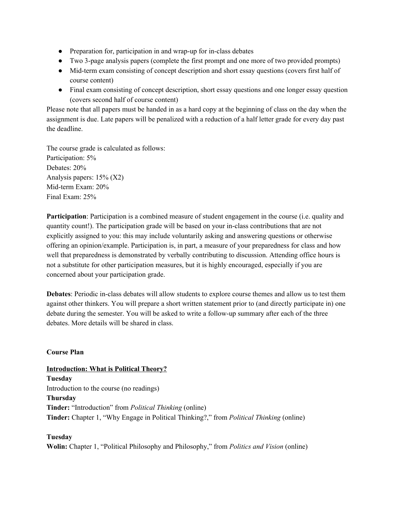- Preparation for, participation in and wrap-up for in-class debates
- Two 3-page analysis papers (complete the first prompt and one more of two provided prompts)
- Mid-term exam consisting of concept description and short essay questions (covers first half of course content)
- Final exam consisting of concept description, short essay questions and one longer essay question (covers second half of course content)

Please note that all papers must be handed in as a hard copy at the beginning of class on the day when the assignment is due. Late papers will be penalized with a reduction of a half letter grade for every day past the deadline.

The course grade is calculated as follows: Participation:  $5%$ Debates: 20% Analysis papers: 15% (X2) Mid-term Exam: 20% Final Exam: 25%

**Participation**: Participation is a combined measure of student engagement in the course (i.e. quality and quantity count!). The participation grade will be based on your in-class contributions that are not explicitly assigned to you: this may include voluntarily asking and answering questions or otherwise offering an opinion/example. Participation is, in part, a measure of your preparedness for class and how well that preparedness is demonstrated by verbally contributing to discussion. Attending office hours is not a substitute for other participation measures, but it is highly encouraged, especially if you are concerned about your participation grade.

**Debates**: Periodic in-class debates will allow students to explore course themes and allow us to test them against other thinkers. You will prepare a short written statement prior to (and directly participate in) one debate during the semester. You will be asked to write a follow-up summary after each of the three debates. More details will be shared in class.

#### **Course Plan**

**Introduction: What is Political Theory? Tuesday** Introduction to the course (no readings) **Thursday Tinder:** "Introduction" from *Political Thinking* (online) **Tinder:** Chapter 1, "Why Engage in Political Thinking?," from *Political Thinking* (online)

#### **Tuesday**

**Wolin:** Chapter 1, "Political Philosophy and Philosophy," from *Politics and Vision* (online)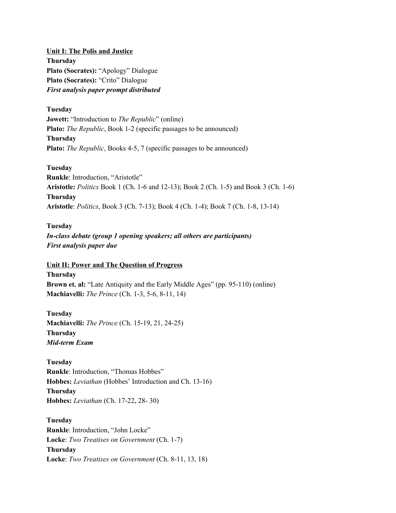**Unit I: The Polis and Justice Thursday Plato (Socrates):** "Apology" Dialogue **Plato (Socrates):** "Crito" Dialogue *First analysis paper prompt distributed*

**Tuesday Jowett:** "Introduction to *The Republic*" (online) **Plato:** *The Republic*, Book 1-2 (specific passages to be announced) **Thursday Plato:** *The Republic*, Books 4-5, 7 (specific passages to be announced)

**Tuesday Runkle**: Introduction, "Aristotle" **Aristotle:** *Politics* Book 1 (Ch. 1-6 and 12-13); Book 2 (Ch. 1-5) and Book 3 (Ch. 1-6) **Thursday Aristotle**: *Politics*, Book 3 (Ch. 7-13); Book 4 (Ch. 1-4); Book 7 (Ch. 1-8, 13-14)

**Tuesday** *In-class debate (group 1 opening speakers; all others are participants) First analysis paper due*

#### **Unit II: Power and The Question of Progress**

**Thursday Brown et. al:** "Late Antiquity and the Early Middle Ages" (pp. 95-110) (online) **Machiavelli:** *The Prince* (Ch. 1-3, 5-6, 8-11, 14)

**Tuesday Machiavelli:** *The Prince* (Ch. 15-19, 21, 24-25) **Thursday** *Mid-term Exam*

**Tuesday Runkle**: Introduction, "Thomas Hobbes" **Hobbes:** *Leviathan* (Hobbes' Introduction and Ch. 13-16) **Thursday Hobbes:** *Leviathan* (Ch. 17-22, 28- 30)

**Tuesday Runkle**: Introduction, "John Locke" **Locke**: *Two Treatises on Government* (Ch. 1-7) **Thursday Locke**: *Two Treatises on Government* (Ch. 8-11, 13, 18)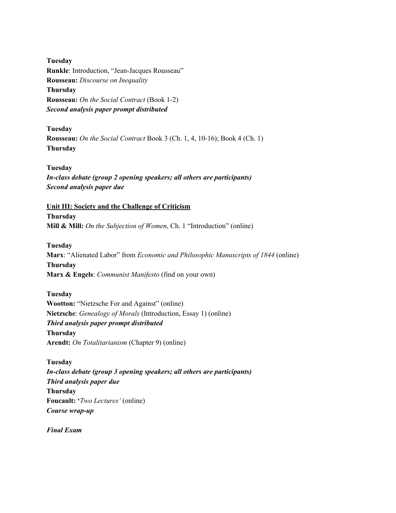**Tuesday Runkle**: Introduction, "Jean-Jacques Rousseau" **Rousseau:** *Discourse on Inequality* **Thursday Rousseau:** *On the Social Contract* (Book 1-2) *Second analysis paper prompt distributed*

**Tuesday Rousseau:** *On the Social Contract* Book 3 (Ch. 1, 4, 10-16); Book 4 (Ch. 1) **Thursday**

**Tuesday** *In-class debate (group 2 opening speakers; all others are participants) Second analysis paper due*

**Unit III: Society and the Challenge of Criticism Thursday Mill & Mill:** *On the Subjection of Women*, Ch. 1 "Introduction" (online)

**Tuesday Marx**: "Alienated Labor" from *Economic and Philosophic Manuscripts of 1844* (online) **Thursday Marx & Engels**: *Communist Manifesto* (find on your own)

**Tuesday Wootton:** "Nietzsche For and Against" (online) **Nietzsche**: *Genealogy of Morals* (Introduction, Essay 1) (online) *Third analysis paper prompt distributed* **Thursday Arendt:** *On Totalitarianism* (Chapter 9) (online)

**Tuesday** *In-class debate (group 3 opening speakers; all others are participants) Third analysis paper due* **Thursday Foucault: '***Two Lectures'* (online) *Course wrap-up*

*Final Exam*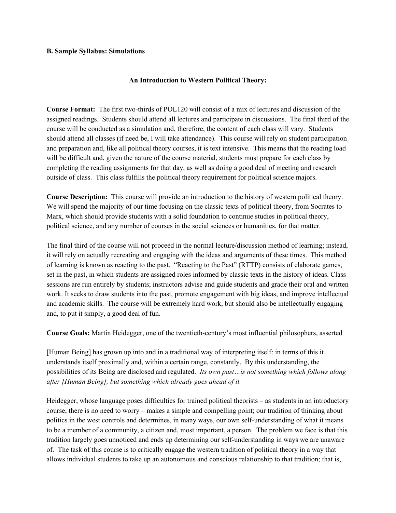#### **B. Sample Syllabus: Simulations**

#### **An Introduction to Western Political Theory:**

**Course Format:** The first two-thirds of POL120 will consist of a mix of lectures and discussion of the assigned readings. Students should attend all lectures and participate in discussions. The final third of the course will be conducted as a simulation and, therefore, the content of each class will vary. Students should attend all classes (if need be, I will take attendance). This course will rely on student participation and preparation and, like all political theory courses, it is text intensive. This means that the reading load will be difficult and, given the nature of the course material, students must prepare for each class by completing the reading assignments for that day, as well as doing a good deal of meeting and research outside of class. This class fulfills the political theory requirement for political science majors.

**Course Description:** This course will provide an introduction to the history of western political theory. We will spend the majority of our time focusing on the classic texts of political theory, from Socrates to Marx, which should provide students with a solid foundation to continue studies in political theory, political science, and any number of courses in the social sciences or humanities, for that matter.

The final third of the course will not proceed in the normal lecture/discussion method of learning; instead, it will rely on actually recreating and engaging with the ideas and arguments of these times. This method of learning is known as reacting to the past. "Reacting to the Past" (RTTP) consists of elaborate games, set in the past, in which students are assigned roles informed by classic texts in the history of ideas. Class sessions are run entirely by students; instructors advise and guide students and grade their oral and written work. It seeks to draw students into the past, promote engagement with big ideas, and improve intellectual and academic skills. The course will be extremely hard work, but should also be intellectually engaging and, to put it simply, a good deal of fun.

**Course Goals:** Martin Heidegger, one of the twentieth-century's most influential philosophers, asserted

[Human Being] has grown up into and in a traditional way of interpreting itself: in terms of this it understands itself proximally and, within a certain range, constantly. By this understanding, the possibilities of its Being are disclosed and regulated. *Its own past…is not something which follows along after [Human Being], but something which already goes ahead of it.*

Heidegger, whose language poses difficulties for trained political theorists – as students in an introductory course, there is no need to worry – makes a simple and compelling point; our tradition of thinking about politics in the west controls and determines, in many ways, our own self-understanding of what it means to be a member of a community, a citizen and, most important, a person. The problem we face is that this tradition largely goes unnoticed and ends up determining our self-understanding in ways we are unaware of. The task of this course is to critically engage the western tradition of political theory in a way that allows individual students to take up an autonomous and conscious relationship to that tradition; that is,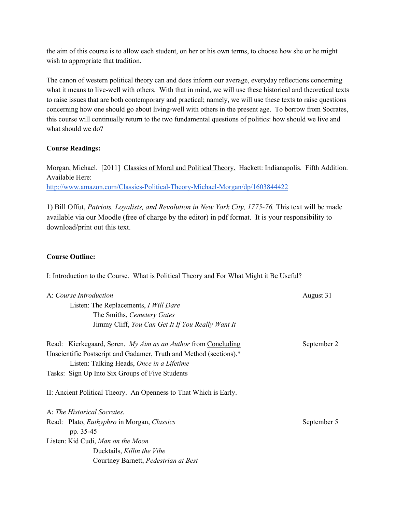the aim of this course is to allow each student, on her or his own terms, to choose how she or he might wish to appropriate that tradition.

The canon of western political theory can and does inform our average, everyday reflections concerning what it means to live-well with others. With that in mind, we will use these historical and theoretical texts to raise issues that are both contemporary and practical; namely, we will use these texts to raise questions concerning how one should go about living-well with others in the present age. To borrow from Socrates, this course will continually return to the two fundamental questions of politics: how should we live and what should we do?

#### **Course Readings:**

Morgan, Michael. [2011] Classics of Moral and Political Theory. Hackett: Indianapolis. Fifth Addition. Available Here: <http://www.amazon.com/Classics-Political-Theory-Michael-Morgan/dp/1603844422>

1) Bill Offut, *Patriots, Loyalists, and Revolution in New York City, 1775-76.* This text will be made available via our Moodle (free of charge by the editor) in pdf format. It is your responsibility to download/print out this text.

#### **Course Outline:**

I: Introduction to the Course. What is Political Theory and For What Might it Be Useful?

| A: Course Introduction                                             | August 31   |
|--------------------------------------------------------------------|-------------|
| Listen: The Replacements, I Will Dare                              |             |
| The Smiths, Cemetery Gates                                         |             |
| Jimmy Cliff, You Can Get It If You Really Want It                  |             |
| Read: Kierkegaard, Søren. My Aim as an Author from Concluding      | September 2 |
| Unscientific Postscript and Gadamer, Truth and Method (sections).* |             |
| Listen: Talking Heads, Once in a Lifetime                          |             |
| Tasks: Sign Up Into Six Groups of Five Students                    |             |
| II: Ancient Political Theory. An Openness to That Which is Early.  |             |
| A: The Historical Socrates.                                        |             |
| Read: Plato, <i>Euthyphro</i> in Morgan, <i>Classics</i>           | September 5 |
| pp. 35-45                                                          |             |
| Listen: Kid Cudi, Man on the Moon                                  |             |
| Ducktails, Killin the Vibe                                         |             |
| Courtney Barnett, Pedestrian at Best                               |             |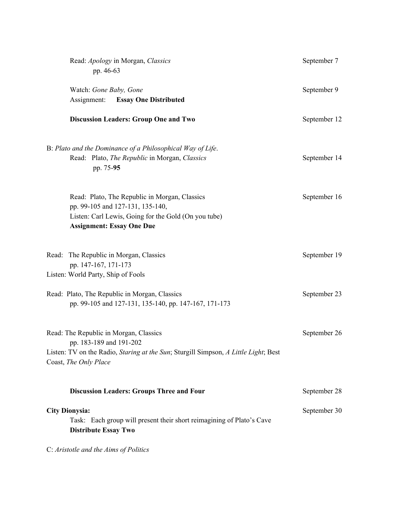| Read: Apology in Morgan, Classics<br>pp. 46-63                                                                                                                                    | September 7  |
|-----------------------------------------------------------------------------------------------------------------------------------------------------------------------------------|--------------|
| Watch: Gone Baby, Gone<br><b>Assignment:</b> Essay One Distributed                                                                                                                | September 9  |
| <b>Discussion Leaders: Group One and Two</b>                                                                                                                                      | September 12 |
| B: Plato and the Dominance of a Philosophical Way of Life.<br>Read: Plato, The Republic in Morgan, Classics<br>pp. 75-95                                                          | September 14 |
| Read: Plato, The Republic in Morgan, Classics<br>pp. 99-105 and 127-131, 135-140,<br>Listen: Carl Lewis, Going for the Gold (On you tube)<br><b>Assignment: Essay One Due</b>     | September 16 |
| Read: The Republic in Morgan, Classics<br>pp. 147-167, 171-173<br>Listen: World Party, Ship of Fools                                                                              | September 19 |
| Read: Plato, The Republic in Morgan, Classics<br>pp. 99-105 and 127-131, 135-140, pp. 147-167, 171-173                                                                            | September 23 |
| Read: The Republic in Morgan, Classics<br>pp. 183-189 and 191-202<br>Listen: TV on the Radio, Staring at the Sun; Sturgill Simpson, A Little Light; Best<br>Coast, The Only Place | September 26 |
| <b>Discussion Leaders: Groups Three and Four</b>                                                                                                                                  | September 28 |
| <b>City Dionysia:</b><br>Task: Each group will present their short reimagining of Plato's Cave<br><b>Distribute Essay Two</b>                                                     | September 30 |
| C: Aristotle and the Aims of Politics                                                                                                                                             |              |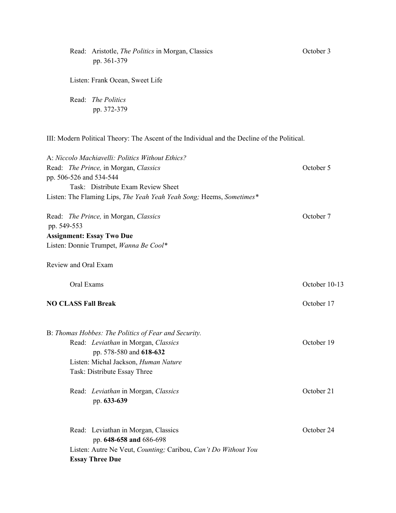|                            | Read: Aristotle, <i>The Politics</i> in Morgan, Classics<br>pp. 361-379                      | October 3     |
|----------------------------|----------------------------------------------------------------------------------------------|---------------|
|                            | Listen: Frank Ocean, Sweet Life                                                              |               |
|                            | Read: The Politics<br>pp. 372-379                                                            |               |
|                            | III: Modern Political Theory: The Ascent of the Individual and the Decline of the Political. |               |
|                            | A: Niccolo Machiavelli: Politics Without Ethics?                                             |               |
| pp. 506-526 and 534-544    | Read: The Prince, in Morgan, Classics                                                        | October 5     |
|                            | Task: Distribute Exam Review Sheet                                                           |               |
|                            | Listen: The Flaming Lips, The Yeah Yeah Yeah Song; Heems, Sometimes*                         |               |
| pp. 549-553                | Read: The Prince, in Morgan, Classics                                                        | October 7     |
|                            | <b>Assignment: Essay Two Due</b>                                                             |               |
|                            | Listen: Donnie Trumpet, Wanna Be Cool*                                                       |               |
| Review and Oral Exam       |                                                                                              |               |
| Oral Exams                 |                                                                                              | October 10-13 |
| <b>NO CLASS Fall Break</b> |                                                                                              | October 17    |
|                            | B: Thomas Hobbes: The Politics of Fear and Security.                                         |               |
|                            | Read: Leviathan in Morgan, Classics                                                          | October 19    |
|                            | pp. 578-580 and 618-632                                                                      |               |
|                            | Listen: Michal Jackson, Human Nature<br>Task: Distribute Essay Three                         |               |
|                            | Read: Leviathan in Morgan, Classics<br>pp. 633-639                                           | October 21    |
|                            | Read: Leviathan in Morgan, Classics<br>pp. 648-658 and 686-698                               | October 24    |
|                            | Listen: Autre Ne Veut, Counting; Caribou, Can't Do Without You<br><b>Essay Three Due</b>     |               |
|                            |                                                                                              |               |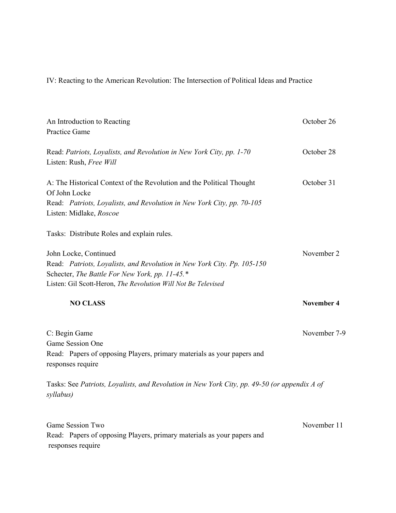IV: Reacting to the American Revolution: The Intersection of Political Ideas and Practice

| An Introduction to Reacting<br><b>Practice Game</b>                                                                                                                                                                 | October 26        |
|---------------------------------------------------------------------------------------------------------------------------------------------------------------------------------------------------------------------|-------------------|
| Read: Patriots, Loyalists, and Revolution in New York City, pp. 1-70<br>Listen: Rush, Free Will                                                                                                                     | October 28        |
| A: The Historical Context of the Revolution and the Political Thought<br>Of John Locke                                                                                                                              | October 31        |
| Read: Patriots, Loyalists, and Revolution in New York City, pp. 70-105<br>Listen: Midlake, Roscoe                                                                                                                   |                   |
| Tasks: Distribute Roles and explain rules.                                                                                                                                                                          |                   |
| John Locke, Continued<br>Read: Patriots, Loyalists, and Revolution in New York City. Pp. 105-150<br>Schecter, The Battle For New York, pp. 11-45.*<br>Listen: Gil Scott-Heron, The Revolution Will Not Be Televised | November 2        |
| <b>NO CLASS</b>                                                                                                                                                                                                     | <b>November 4</b> |
| C: Begin Game<br>Game Session One<br>Read: Papers of opposing Players, primary materials as your papers and<br>responses require                                                                                    | November 7-9      |
| Tasks: See Patriots, Loyalists, and Revolution in New York City, pp. 49-50 (or appendix A of<br>syllabus)                                                                                                           |                   |
| Game Session Two<br>Read: Papers of opposing Players, primary materials as your papers and                                                                                                                          | November 11       |

responses require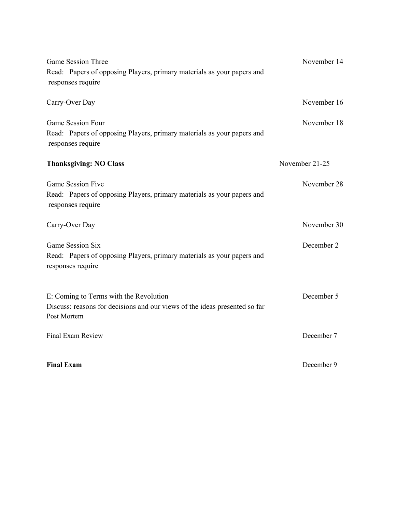| <b>Game Session Three</b><br>Read: Papers of opposing Players, primary materials as your papers and<br>responses require            | November 14    |
|-------------------------------------------------------------------------------------------------------------------------------------|----------------|
| Carry-Over Day                                                                                                                      | November 16    |
| Game Session Four<br>Read: Papers of opposing Players, primary materials as your papers and<br>responses require                    | November 18    |
| <b>Thanksgiving: NO Class</b>                                                                                                       | November 21-25 |
| Game Session Five<br>Read: Papers of opposing Players, primary materials as your papers and<br>responses require                    | November 28    |
| Carry-Over Day                                                                                                                      | November 30    |
| Game Session Six<br>Read: Papers of opposing Players, primary materials as your papers and<br>responses require                     | December 2     |
| E: Coming to Terms with the Revolution<br>Discuss: reasons for decisions and our views of the ideas presented so far<br>Post Mortem | December 5     |
| <b>Final Exam Review</b>                                                                                                            | December 7     |
| <b>Final Exam</b>                                                                                                                   | December 9     |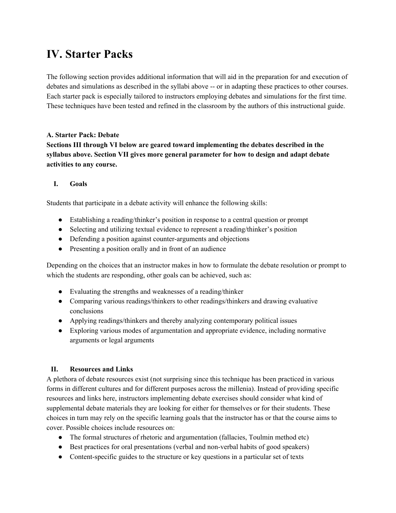# **IV. Starter Packs**

The following section provides additional information that will aid in the preparation for and execution of debates and simulations as described in the syllabi above -- or in adapting these practices to other courses. Each starter pack is especially tailored to instructors employing debates and simulations for the first time. These techniques have been tested and refined in the classroom by the authors of this instructional guide.

#### **A. Starter Pack: Debate**

**Sections III through VI below are geared toward implementing the debates described in the syllabus above. Section VII gives more general parameter for how to design and adapt debate activities to any course.**

#### **I. Goals**

Students that participate in a debate activity will enhance the following skills:

- Establishing a reading/thinker's position in response to a central question or prompt
- Selecting and utilizing textual evidence to represent a reading/thinker's position
- Defending a position against counter-arguments and objections
- Presenting a position orally and in front of an audience

Depending on the choices that an instructor makes in how to formulate the debate resolution or prompt to which the students are responding, other goals can be achieved, such as:

- Evaluating the strengths and weaknesses of a reading/thinker
- Comparing various readings/thinkers to other readings/thinkers and drawing evaluative conclusions
- Applying readings/thinkers and thereby analyzing contemporary political issues
- Exploring various modes of argumentation and appropriate evidence, including normative arguments or legal arguments

#### **II. Resources and Links**

A plethora of debate resources exist (not surprising since this technique has been practiced in various forms in different cultures and for different purposes across the millenia). Instead of providing specific resources and links here, instructors implementing debate exercises should consider what kind of supplemental debate materials they are looking for either for themselves or for their students. These choices in turn may rely on the specific learning goals that the instructor has or that the course aims to cover. Possible choices include resources on:

- The formal structures of rhetoric and argumentation (fallacies, Toulmin method etc)
- Best practices for oral presentations (verbal and non-verbal habits of good speakers)
- Content-specific guides to the structure or key questions in a particular set of texts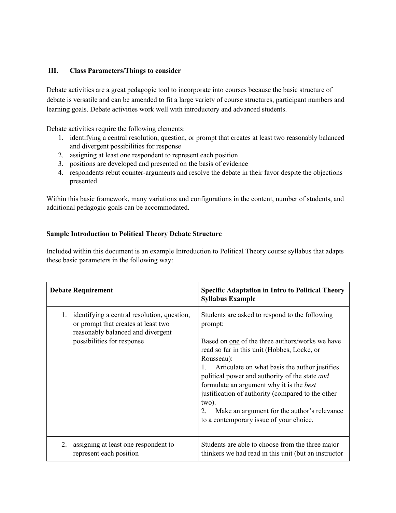#### **III. Class Parameters/Things to consider**

Debate activities are a great pedagogic tool to incorporate into courses because the basic structure of debate is versatile and can be amended to fit a large variety of course structures, participant numbers and learning goals. Debate activities work well with introductory and advanced students.

Debate activities require the following elements:

- 1. identifying a central resolution, question, or prompt that creates at least two reasonably balanced and divergent possibilities for response
- 2. assigning at least one respondent to represent each position
- 3. positions are developed and presented on the basis of evidence
- 4. respondents rebut counter-arguments and resolve the debate in their favor despite the objections presented

Within this basic framework, many variations and configurations in the content, number of students, and additional pedagogic goals can be accommodated.

#### **Sample Introduction to Political Theory Debate Structure**

Included within this document is an example Introduction to Political Theory course syllabus that adapts these basic parameters in the following way:

| <b>Debate Requirement</b>                                                                                                                                   | <b>Specific Adaptation in Intro to Political Theory</b><br><b>Syllabus Example</b>                                                                                                                                                                                                                                                                                                                                                                                                            |
|-------------------------------------------------------------------------------------------------------------------------------------------------------------|-----------------------------------------------------------------------------------------------------------------------------------------------------------------------------------------------------------------------------------------------------------------------------------------------------------------------------------------------------------------------------------------------------------------------------------------------------------------------------------------------|
| identifying a central resolution, question,<br>1.<br>or prompt that creates at least two<br>reasonably balanced and divergent<br>possibilities for response | Students are asked to respond to the following<br>prompt:<br>Based on one of the three authors/works we have<br>read so far in this unit (Hobbes, Locke, or<br>Rousseau):<br>Articulate on what basis the author justifies<br>political power and authority of the state and<br>formulate an argument why it is the <i>best</i><br>justification of authority (compared to the other<br>two).<br>Make an argument for the author's relevance<br>2.<br>to a contemporary issue of your choice. |
| assigning at least one respondent to<br>2.<br>represent each position                                                                                       | Students are able to choose from the three major<br>thinkers we had read in this unit (but an instructor                                                                                                                                                                                                                                                                                                                                                                                      |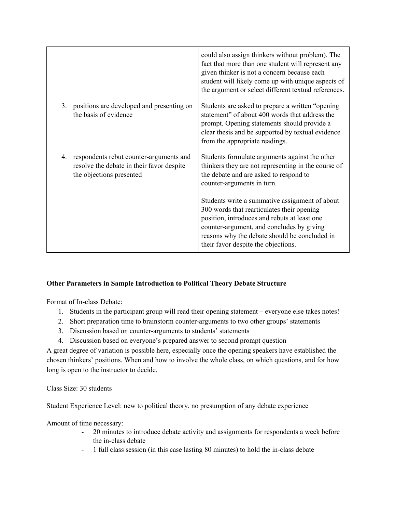|    |                                                                                                                  | could also assign thinkers without problem). The<br>fact that more than one student will represent any<br>given thinker is not a concern because each<br>student will likely come up with unique aspects of<br>the argument or select different textual references.                                                                                                                                                                                                |
|----|------------------------------------------------------------------------------------------------------------------|--------------------------------------------------------------------------------------------------------------------------------------------------------------------------------------------------------------------------------------------------------------------------------------------------------------------------------------------------------------------------------------------------------------------------------------------------------------------|
| 3. | positions are developed and presenting on<br>the basis of evidence                                               | Students are asked to prepare a written "opening"<br>statement" of about 400 words that address the<br>prompt. Opening statements should provide a<br>clear thesis and be supported by textual evidence<br>from the appropriate readings.                                                                                                                                                                                                                          |
| 4. | respondents rebut counter-arguments and<br>resolve the debate in their favor despite<br>the objections presented | Students formulate arguments against the other<br>thinkers they are not representing in the course of<br>the debate and are asked to respond to<br>counter-arguments in turn.<br>Students write a summative assignment of about<br>300 words that rearticulates their opening<br>position, introduces and rebuts at least one<br>counter-argument, and concludes by giving<br>reasons why the debate should be concluded in<br>their favor despite the objections. |

#### **Other Parameters in Sample Introduction to Political Theory Debate Structure**

Format of In-class Debate:

- 1. Students in the participant group will read their opening statement everyone else takes notes!
- 2. Short preparation time to brainstorm counter-arguments to two other groups' statements
- 3. Discussion based on counter-arguments to students' statements
- 4. Discussion based on everyone's prepared answer to second prompt question

A great degree of variation is possible here, especially once the opening speakers have established the chosen thinkers' positions. When and how to involve the whole class, on which questions, and for how long is open to the instructor to decide.

Class Size: 30 students

Student Experience Level: new to political theory, no presumption of any debate experience

Amount of time necessary:

- 20 minutes to introduce debate activity and assignments for respondents a week before the in-class debate
- 1 full class session (in this case lasting 80 minutes) to hold the in-class debate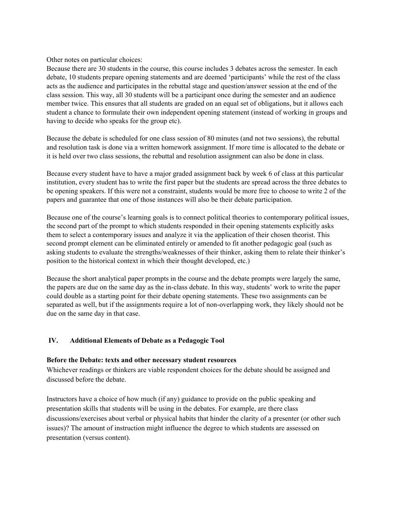Other notes on particular choices:

Because there are 30 students in the course, this course includes 3 debates across the semester. In each debate, 10 students prepare opening statements and are deemed 'participants' while the rest of the class acts as the audience and participates in the rebuttal stage and question/answer session at the end of the class session. This way, all 30 students will be a participant once during the semester and an audience member twice. This ensures that all students are graded on an equal set of obligations, but it allows each student a chance to formulate their own independent opening statement (instead of working in groups and having to decide who speaks for the group etc).

Because the debate is scheduled for one class session of 80 minutes (and not two sessions), the rebuttal and resolution task is done via a written homework assignment. If more time is allocated to the debate or it is held over two class sessions, the rebuttal and resolution assignment can also be done in class.

Because every student have to have a major graded assignment back by week 6 of class at this particular institution, every student has to write the first paper but the students are spread across the three debates to be opening speakers. If this were not a constraint, students would be more free to choose to write 2 of the papers and guarantee that one of those instances will also be their debate participation.

Because one of the course's learning goals is to connect political theories to contemporary political issues, the second part of the prompt to which students responded in their opening statements explicitly asks them to select a contemporary issues and analyze it via the application of their chosen theorist. This second prompt element can be eliminated entirely or amended to fit another pedagogic goal (such as asking students to evaluate the strengths/weaknesses of their thinker, asking them to relate their thinker's position to the historical context in which their thought developed, etc.)

Because the short analytical paper prompts in the course and the debate prompts were largely the same, the papers are due on the same day as the in-class debate. In this way, students' work to write the paper could double as a starting point for their debate opening statements. These two assignments can be separated as well, but if the assignments require a lot of non-overlapping work, they likely should not be due on the same day in that case.

#### **IV. Additional Elements of Debate as a Pedagogic Tool**

#### **Before the Debate: texts and other necessary student resources**

Whichever readings or thinkers are viable respondent choices for the debate should be assigned and discussed before the debate.

Instructors have a choice of how much (if any) guidance to provide on the public speaking and presentation skills that students will be using in the debates. For example, are there class discussions/exercises about verbal or physical habits that hinder the clarity of a presenter (or other such issues)? The amount of instruction might influence the degree to which students are assessed on presentation (versus content).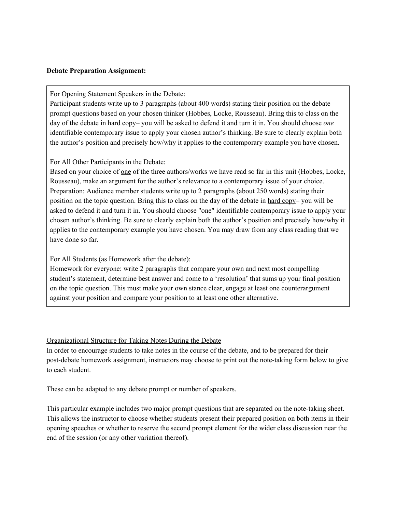#### **Debate Preparation Assignment:**

#### For Opening Statement Speakers in the Debate:

Participant students write up to 3 paragraphs (about 400 words) stating their position on the debate prompt questions based on your chosen thinker (Hobbes, Locke, Rousseau). Bring this to class on the day of the debate in hard copy– you will be asked to defend it and turn it in. You should choose *one* identifiable contemporary issue to apply your chosen author's thinking. Be sure to clearly explain both the author's position and precisely how/why it applies to the contemporary example you have chosen.

#### For All Other Participants in the Debate:

Based on your choice of one of the three authors/works we have read so far in this unit (Hobbes, Locke, Rousseau), make an argument for the author's relevance to a contemporary issue of your choice. Preparation: Audience member students write up to 2 paragraphs (about 250 words) stating their position on the topic question. Bring this to class on the day of the debate in hard copy– you will be asked to defend it and turn it in. You should choose "one" identifiable contemporary issue to apply your chosen author's thinking. Be sure to clearly explain both the author's position and precisely how/why it applies to the contemporary example you have chosen. You may draw from any class reading that we have done so far.

#### For All Students (as Homework after the debate):

Homework for everyone: write 2 paragraphs that compare your own and next most compelling student's statement, determine best answer and come to a 'resolution' that sums up your final position on the topic question. This must make your own stance clear, engage at least one counterargument against your position and compare your position to at least one other alternative.

#### Organizational Structure for Taking Notes During the Debate

In order to encourage students to take notes in the course of the debate, and to be prepared for their post-debate homework assignment, instructors may choose to print out the note-taking form below to give to each student.

These can be adapted to any debate prompt or number of speakers.

This particular example includes two major prompt questions that are separated on the note-taking sheet. This allows the instructor to choose whether students present their prepared position on both items in their opening speeches or whether to reserve the second prompt element for the wider class discussion near the end of the session (or any other variation thereof).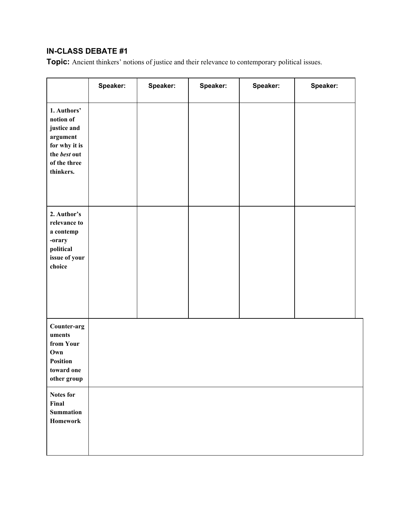# **IN-CLASS DEBATE #1**

**Topic:** Ancient thinkers' notions of justice and their relevance to contemporary political issues.

|                                                                                                                   | Speaker: | Speaker: | Speaker: | Speaker: | Speaker: |
|-------------------------------------------------------------------------------------------------------------------|----------|----------|----------|----------|----------|
| 1. Authors'<br>notion of<br>justice and<br>argument<br>for why it is<br>the best out<br>of the three<br>thinkers. |          |          |          |          |          |
| 2. Author's<br>relevance to<br>a contemp<br>-orary<br>political<br>issue of your<br>choice                        |          |          |          |          |          |
| Counter-arg<br>uments<br>from Your<br>Own<br><b>Position</b><br>toward one<br>other group                         |          |          |          |          |          |
| Notes for<br>Final<br><b>Summation</b><br>Homework                                                                |          |          |          |          |          |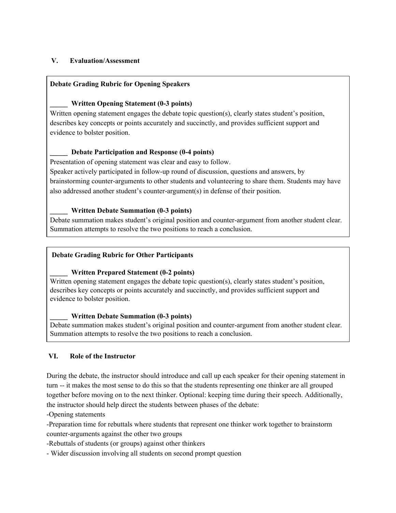#### **V. Evaluation/Assessment**

#### **Debate Grading Rubric for Opening Speakers**

#### **\_\_\_\_\_ Written Opening Statement (0-3 points)**

Written opening statement engages the debate topic question(s), clearly states student's position, describes key concepts or points accurately and succinctly, and provides sufficient support and evidence to bolster position.

#### **\_\_\_\_\_ Debate Participation and Response (0-4 points)**

Presentation of opening statement was clear and easy to follow.

Speaker actively participated in follow-up round of discussion, questions and answers, by brainstorming counter-arguments to other students and volunteering to share them. Students may have also addressed another student's counter-argument(s) in defense of their position.

#### **\_\_\_\_\_ Written Debate Summation (0-3 points)**

Debate summation makes student's original position and counter-argument from another student clear. Summation attempts to resolve the two positions to reach a conclusion.

#### **Debate Grading Rubric for Other Participants**

#### **\_\_\_\_\_ Written Prepared Statement (0-2 points)**

Written opening statement engages the debate topic question(s), clearly states student's position, describes key concepts or points accurately and succinctly, and provides sufficient support and evidence to bolster position.

#### **\_\_\_\_\_ Written Debate Summation (0-3 points)**

Debate summation makes student's original position and counter-argument from another student clear. Summation attempts to resolve the two positions to reach a conclusion.

#### **VI. Role of the Instructor**

During the debate, the instructor should introduce and call up each speaker for their opening statement in turn -- it makes the most sense to do this so that the students representing one thinker are all grouped together before moving on to the next thinker. Optional: keeping time during their speech. Additionally, the instructor should help direct the students between phases of the debate:

-Opening statements

-Preparation time for rebuttals where students that represent one thinker work together to brainstorm counter-arguments against the other two groups

-Rebuttals of students (or groups) against other thinkers

- Wider discussion involving all students on second prompt question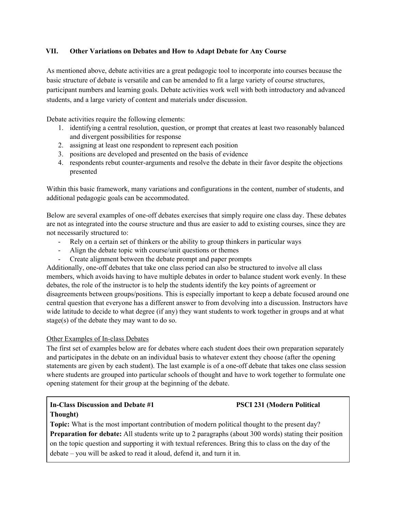#### **VII. Other Variations on Debates and How to Adapt Debate for Any Course**

As mentioned above, debate activities are a great pedagogic tool to incorporate into courses because the basic structure of debate is versatile and can be amended to fit a large variety of course structures, participant numbers and learning goals. Debate activities work well with both introductory and advanced students, and a large variety of content and materials under discussion.

Debate activities require the following elements:

- 1. identifying a central resolution, question, or prompt that creates at least two reasonably balanced and divergent possibilities for response
- 2. assigning at least one respondent to represent each position
- 3. positions are developed and presented on the basis of evidence
- 4. respondents rebut counter-arguments and resolve the debate in their favor despite the objections presented

Within this basic framework, many variations and configurations in the content, number of students, and additional pedagogic goals can be accommodated.

Below are several examples of one-off debates exercises that simply require one class day. These debates are not as integrated into the course structure and thus are easier to add to existing courses, since they are not necessarily structured to:

- Rely on a certain set of thinkers or the ability to group thinkers in particular ways
- Align the debate topic with course/unit questions or themes
- Create alignment between the debate prompt and paper prompts

Additionally, one-off debates that take one class period can also be structured to involve all class members, which avoids having to have multiple debates in order to balance student work evenly. In these debates, the role of the instructor is to help the students identify the key points of agreement or disagreements between groups/positions. This is especially important to keep a debate focused around one central question that everyone has a different answer to from devolving into a discussion. Instructors have wide latitude to decide to what degree (if any) they want students to work together in groups and at what stage(s) of the debate they may want to do so.

#### Other Examples of In-class Debates

The first set of examples below are for debates where each student does their own preparation separately and participates in the debate on an individual basis to whatever extent they choose (after the opening statements are given by each student). The last example is of a one-off debate that takes one class session where students are grouped into particular schools of thought and have to work together to formulate one opening statement for their group at the beginning of the debate.

### **In-Class Discussion and Debate #1 PSCI 231 (Modern Political Thought)**

**Topic:** What is the most important contribution of modern political thought to the present day? **Preparation for debate:** All students write up to 2 paragraphs (about 300 words) stating their position on the topic question and supporting it with textual references. Bring this to class on the day of the debate – you will be asked to read it aloud, defend it, and turn it in.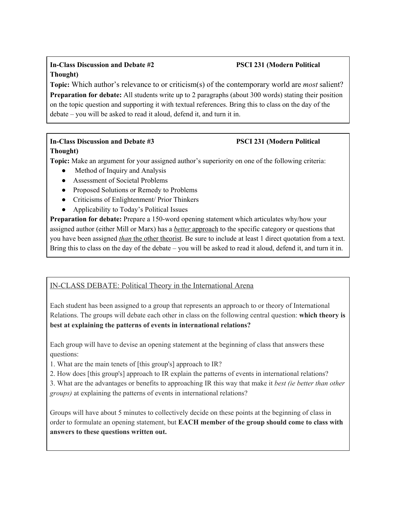## **In-Class Discussion and Debate #2 PSCI 231 (Modern Political Thought)**

**Topic:** Which author's relevance to or criticism(s) of the contemporary world are *most* salient? **Preparation for debate:** All students write up to 2 paragraphs (about 300 words) stating their position on the topic question and supporting it with textual references. Bring this to class on the day of the debate – you will be asked to read it aloud, defend it, and turn it in.

# **In-Class Discussion and Debate #3 PSCI 231 (Modern Political**

### **Thought)**

**Topic:** Make an argument for your assigned author's superiority on one of the following criteria:

- Method of Inquiry and Analysis
- Assessment of Societal Problems
- Proposed Solutions or Remedy to Problems
- Criticisms of Enlightenment/ Prior Thinkers
- Applicability to Today's Political Issues

**Preparation for debate:** Prepare a 150-word opening statement which articulates why/how your assigned author (either Mill or Marx) has a *better* approach to the specific category or questions that you have been assigned *than* the other theorist. Be sure to include at least 1 direct quotation from a text. Bring this to class on the day of the debate – you will be asked to read it aloud, defend it, and turn it in.

## IN-CLASS DEBATE: Political Theory in the International Arena

Each student has been assigned to a group that represents an approach to or theory of International Relations. The groups will debate each other in class on the following central question: **which theory is best at explaining the patterns of events in international relations?**

Each group will have to devise an opening statement at the beginning of class that answers these questions:

1. What are the main tenets of [this group's] approach to IR?

2. How does [this group's] approach to IR explain the patterns of events in international relations?

3. What are the advantages or benefits to approaching IR this way that make it *best (ie better than other groups)* at explaining the patterns of events in international relations?

Groups will have about 5 minutes to collectively decide on these points at the beginning of class in order to formulate an opening statement, but **EACH member of the group should come to class with answers to these questions written out.**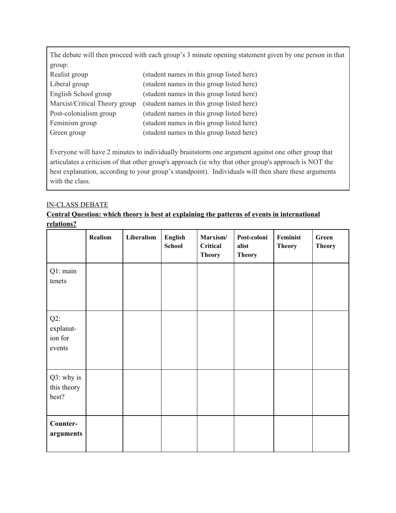The debate will then proceed with each group's 3 minute opening statement given by one person in that group:

| Realist group                 | (student names in this group listed here) |
|-------------------------------|-------------------------------------------|
| Liberal group                 | (student names in this group listed here) |
| English School group          | (student names in this group listed here) |
| Marxist/Critical Theory group | (student names in this group listed here) |
| Post-colonialism group        | (student names in this group listed here) |
| Feminism group                | (student names in this group listed here) |
| Green group                   | (student names in this group listed here) |

Everyone will have 2 minutes to individually brainstorm one argument against one other group that articulates a criticism of that other group's approach (ie why that other group's approach is NOT the best explanation, according to your group's standpoint). Individuals will then share these arguments with the class.

#### IN-CLASS DEBATE

## **Central Question: which theory is best at explaining the patterns of events in international relations?**

|                                          | <b>Realism</b> | Liberalism | English<br><b>School</b> | Marxism/<br><b>Critical</b><br><b>Theory</b> | Post-coloni<br>alist<br><b>Theory</b> | Feminist<br><b>Theory</b> | Green<br><b>Theory</b> |
|------------------------------------------|----------------|------------|--------------------------|----------------------------------------------|---------------------------------------|---------------------------|------------------------|
| Q1: main<br>tenets                       |                |            |                          |                                              |                                       |                           |                        |
| $Q2$ :<br>explanat-<br>ion for<br>events |                |            |                          |                                              |                                       |                           |                        |
| Q3: why is<br>this theory<br>best?       |                |            |                          |                                              |                                       |                           |                        |
| Counter-<br>arguments                    |                |            |                          |                                              |                                       |                           |                        |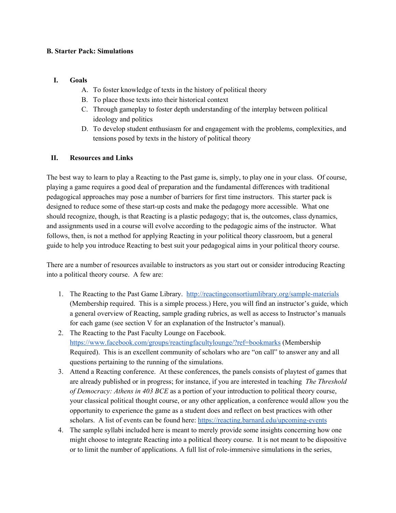#### **B. Starter Pack: Simulations**

#### **I. Goals**

- A. To foster knowledge of texts in the history of political theory
- B. To place those texts into their historical context
- C. Through gameplay to foster depth understanding of the interplay between political ideology and politics
- D. To develop student enthusiasm for and engagement with the problems, complexities, and tensions posed by texts in the history of political theory

#### **II. Resources and Links**

The best way to learn to play a Reacting to the Past game is, simply, to play one in your class. Of course, playing a game requires a good deal of preparation and the fundamental differences with traditional pedagogical approaches may pose a number of barriers for first time instructors. This starter pack is designed to reduce some of these start-up costs and make the pedagogy more accessible. What one should recognize, though, is that Reacting is a plastic pedagogy; that is, the outcomes, class dynamics, and assignments used in a course will evolve according to the pedagogic aims of the instructor. What follows, then, is not a method for applying Reacting in your political theory classroom, but a general guide to help you introduce Reacting to best suit your pedagogical aims in your political theory course.

There are a number of resources available to instructors as you start out or consider introducing Reacting into a political theory course. A few are:

- 1. The Reacting to the Past Game Library. <http://reactingconsortiumlibrary.org/sample-materials> (Membership required. This is a simple process.) Here, you will find an instructor's guide, which a general overview of Reacting, sample grading rubrics, as well as access to Instructor's manuals for each game (see section V for an explanation of the Instructor's manual).
- 2. The Reacting to the Past Faculty Lounge on Facebook. <https://www.facebook.com/groups/reactingfacultylounge/?ref=bookmarks> (Membership Required). This is an excellent community of scholars who are "on call" to answer any and all questions pertaining to the running of the simulations.
- 3. Attend a Reacting conference. At these conferences, the panels consists of playtest of games that are already published or in progress; for instance, if you are interested in teaching *The Threshold of Democracy: Athens in 403 BCE* as a portion of your introduction to political theory course, your classical political thought course, or any other application, a conference would allow you the opportunity to experience the game as a student does and reflect on best practices with other scholars. A list of events can be found here: <https://reacting.barnard.edu/upcoming-events>
- 4. The sample syllabi included here is meant to merely provide some insights concerning how one might choose to integrate Reacting into a political theory course. It is not meant to be dispositive or to limit the number of applications. A full list of role-immersive simulations in the series,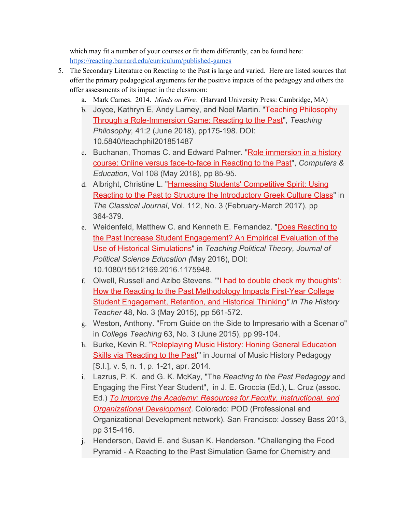which may fit a number of your courses or fit them differently, can be found here: <https://reacting.barnard.edu/curriculum/published-games>

- 5. The Secondary Literature on Reacting to the Past is large and varied. Here are listed sources that offer the primary pedagogical arguments for the positive impacts of the pedagogy and others the offer assessments of its impact in the classroom:
	- a. Mark Carnes. 2014. *Minds on Fire.* (Harvard University Press: Cambridge, MA)
	- b. Joyce, Kathryn E, Andy Lamey, and Noel Martin. ["Teaching Philosophy](http://reacting.barnard.edu/sites/default/files/joyce_lamey_martin_-_teaching_philosophy_through_a_role-immersion_game.pdf) [Through a Role-Immersion Game: Reacting to the Past](http://reacting.barnard.edu/sites/default/files/joyce_lamey_martin_-_teaching_philosophy_through_a_role-immersion_game.pdf)", *Teaching Philosophy,* 41:2 (June 2018), pp175-198. DOI: 10.5840/teachphil201851487
	- c. Buchanan, Thomas C. and Edward Palmer. "[Role immersion in a history](http://reacting.barnard.edu/sites/default/files/joyce_lamey_martin_-_teaching_philosophy_through_a_role-immersion_game.pdf) [course: Online versus face-to-face in Reacting to the Past"](http://reacting.barnard.edu/sites/default/files/joyce_lamey_martin_-_teaching_philosophy_through_a_role-immersion_game.pdf), *Computers & Education*, Vol 108 (May 2018), pp 85-95.
	- d. Albright, Christine L. "[Harnessing Students' Competitive Spirit: Using](http://reacting.barnard.edu/sites/default/files/albright_harnessing_students_competitive_spirit.pdf) [Reacting to the Past to Structure the Introductory Greek Culture Class](http://reacting.barnard.edu/sites/default/files/albright_harnessing_students_competitive_spirit.pdf)" in *The Classical Journal*, Vol. 112, No. 3 (February-March 2017), pp 364-379.
	- e. Weidenfeld, Matthew C. and Kenneth E. Fernandez. "[Does Reacting to](http://www.tandfonline.com/doi/full/10.1080/15512169.2016.1175948) [the Past Increase Student Engagement? An Empirical Evaluation of the](http://www.tandfonline.com/doi/full/10.1080/15512169.2016.1175948) [Use of Historical Simulations"](http://www.tandfonline.com/doi/full/10.1080/15512169.2016.1175948) in *Teaching Political Theory, Journal of Political Science Education (*May 2016), DOI: 10.1080/15512169.2016.1175948.
	- f. Olwell, Russell and Azibo Stevens. "'[I had to double check my thoughts':](http://www.societyforhistoryeducation.org/pdfs/M15_Olwell_and_Stevens.pdf) [How the Reacting to the Past Methodology Impacts First-Year College](http://www.societyforhistoryeducation.org/pdfs/M15_Olwell_and_Stevens.pdf) [Student Engagement, Retention, and Historical Thinking](http://www.societyforhistoryeducation.org/pdfs/M15_Olwell_and_Stevens.pdf)*" in The History Teacher* 48, No. 3 (May 2015), pp 561-572.
	- g. Weston, Anthony. "From Guide on the Side to Impresario with a Scenario" in *College Teaching* 63, No. 3 (June 2015), pp 99-104.
	- h. Burke, Kevin R. "[Roleplaying Music History: Honing General Education](http://www.ams-net.org/ojs/index.php/jmhp/article/view/134) [Skills via 'Reacting to the Past](http://www.ams-net.org/ojs/index.php/jmhp/article/view/134)" in Journal of Music History Pedagogy [S.I.], v. 5, n. 1, p. 1-21, apr. 2014.
	- i. Lazrus, P. K. and G. K. McKay, "The *Reacting to the Past Pedagogy* and Engaging the First Year Student", in J. E. Groccia (Ed.), L. Cruz (assoc. Ed.) *[To Improve the Academy:](http://www.wiley.com/WileyCDA/WileyTitle/productCd-1118746430.html) [Resources for Faculty, Instructional, and](http://www.wiley.com/WileyCDA/WileyTitle/productCd-1118746430.html) [Organizational Development](http://www.wiley.com/WileyCDA/WileyTitle/productCd-1118746430.html)*. Colorado: POD (Professional and Organizational Development network). San Francisco: Jossey Bass 2013, pp 315-416.
	- j. Henderson, David E. and Susan K. Henderson. "Challenging the Food Pyramid - A Reacting to the Past Simulation Game for Chemistry and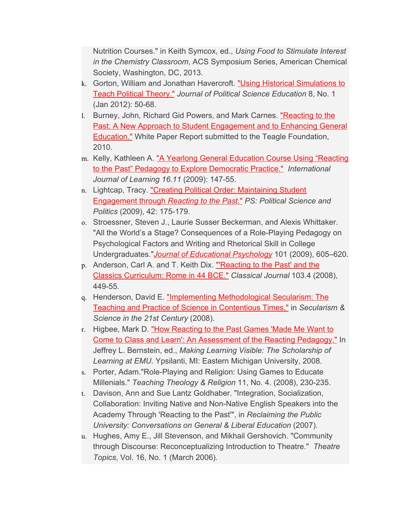Nutrition Courses." in Keith Symcox, ed., *Using Food to Stimulate Interest in the Chemistry Classroom*, ACS Symposium Series, American Chemical Society, Washington, DC, 2013.

- k. Gorton, William and Jonathan Havercroft. ["Using Historical Simulations to](http://www.tandfonline.com/doi/abs/10.1080/15512169.2012.641399) [Teach Political Theory."](http://www.tandfonline.com/doi/abs/10.1080/15512169.2012.641399) *Journal of Political Science Education* 8, No. 1 (Jan 2012): 50-68.
- l. Burney, John, Richard Gid Powers, and Mark Carnes. ["Reacting to the](https://reacting.barnard.edu/about/special-initiatives/fresh-thinking) [Past: A New Approach to Student Engagement and to Enhancing General](https://reacting.barnard.edu/about/special-initiatives/fresh-thinking) [Education."](https://reacting.barnard.edu/about/special-initiatives/fresh-thinking) White Paper Report submitted to the Teagle Foundation, 2010.
- m. Kelly, Kathleen A. ["A Yearlong General Education Course Using "Reacting](http://ijl.cgpublisher.com/product/pub.30/prod.2496) [to the Past" Pedagogy to Explore Democratic Practice."](http://ijl.cgpublisher.com/product/pub.30/prod.2496) *International Journal of Learning 16.11* (2009): 147-55.
- n. Lightcap, Tracy. ["Creating Political Order: Maintaining Student](http://journals.cambridge.org/action/displayIssue?jid=PSC&volumeId=42&issueId=01) [Engagement through](http://journals.cambridge.org/action/displayIssue?jid=PSC&volumeId=42&issueId=01) *[Reacting to the Past](http://journals.cambridge.org/action/displayIssue?jid=PSC&volumeId=42&issueId=01)*[."](http://journals.cambridge.org/action/displayIssue?jid=PSC&volumeId=42&issueId=01) *PS: Political Science and Politics* (2009), 42: 175-179.
- o. Stroessner, Steven J., Laurie Susser Beckerman, and Alexis Whittaker. "All the World's a Stage? Consequences of a Role-Playing Pedagogy on Psychological Factors and Writing and Rhetorical Skill in College Undergraduates."*[Journal of Educational Psychology](http://www.apa.org/journals/edu/)* 101 (2009), 605–620.
- p. Anderson, Carl A. and T. Keith Dix. "Reacting to the Past' and the [Classics Curriculum: Rome in 44 BCE."](http://classicaljournal.org/Anderson%20Dix.pdf) *Classical Journal* 103.4 (2008), 449-55.
- q. Henderson, David E. ["Implementing Methodological Secularism: The](http://www.scribd.com/doc/17326661/Implementing-Methodological-Secularism-The-Teaching-and-Practice-of-Science-in-Contentious-Times) [Teaching and Practice of Science in Contentious Times,"](http://www.scribd.com/doc/17326661/Implementing-Methodological-Secularism-The-Teaching-and-Practice-of-Science-in-Contentious-Times) in *Secularism & Science in the 21st Century* (2008).
- r. Higbee, Mark D. ["How Reacting to the Past Games 'Made Me Want to](http://commons.emich.edu/sotl/vol2/iss1/4/) [Come to Class and Learn': An Assessment of the Reacting Pedagogy."](http://commons.emich.edu/sotl/vol2/iss1/4/) In Jeffrey L. Bernstein, ed., *Making Learning Visible: The Scholarship of Learning at EMU.* Ypsilanti, MI: Eastern Michigan University, 2008.
- s. Porter, Adam."Role-Playing and Religion: Using Games to Educate Millenials." *Teaching Theology & Religion* 11, No. 4. (2008), 230-235.
- t. Davison, Ann and Sue Lantz Goldhaber. "Integration, Socialization, Collaboration: Inviting Native and Non-Native English Speakers into the Academy Through 'Reacting to the Past'", in *Reclaiming the Public University: Conversations on General & Liberal Education* (2007).
- u. Hughes, Amy E., Jill Stevenson, and Mikhail Gershovich. "Community through Discourse: Reconceptualizing Introduction to Theatre." *Theatre Topics*, Vol. 16, No. 1 (March 2006).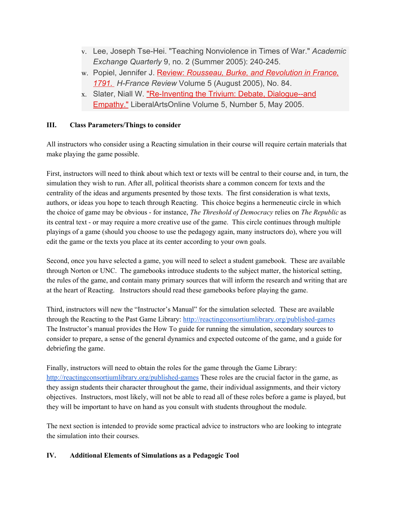- v. Lee, Joseph Tse-Hei. "Teaching Nonviolence in Times of War." *Academic Exchange Quarterly* 9, no. 2 (Summer 2005): 240-245.
- w. Popiel, Jennifer J. [Review:](http://www.h-france.net/vol5reviews/popiel.html) *[Rousseau, Burke, and Revolution in France,](http://www.h-france.net/vol5reviews/popiel.html) [1791.](http://www.h-france.net/vol5reviews/popiel.html) H-France Review* Volume 5 (August 2005), No. 84.
- x. Slater, Niall W. ["](http://liberalarts.wabash.edu/cila/displayStory_print.cfm?news_ID=2511)[Re-Inventing the Trivium: Debate, Dialogue--and](http://www.liberalarts.wabash.edu/lao-5-5-debate-dialogue-empath/) [Empathy."](http://www.liberalarts.wabash.edu/lao-5-5-debate-dialogue-empath/) LiberalArtsOnline Volume 5, Number 5, May 2005.

#### **III. Class Parameters/Things to consider**

All instructors who consider using a Reacting simulation in their course will require certain materials that make playing the game possible.

First, instructors will need to think about which text or texts will be central to their course and, in turn, the simulation they wish to run. After all, political theorists share a common concern for texts and the centrality of the ideas and arguments presented by those texts. The first consideration is what texts, authors, or ideas you hope to teach through Reacting. This choice begins a hermeneutic circle in which the choice of game may be obvious - for instance, *The Threshold of Democracy* relies on *The Republic* as its central text - or may require a more creative use of the game. This circle continues through multiple playings of a game (should you choose to use the pedagogy again, many instructors do), where you will edit the game or the texts you place at its center according to your own goals.

Second, once you have selected a game, you will need to select a student gamebook. These are available through Norton or UNC. The gamebooks introduce students to the subject matter, the historical setting, the rules of the game, and contain many primary sources that will inform the research and writing that are at the heart of Reacting. Instructors should read these gamebooks before playing the game.

Third, instructors will new the "Instructor's Manual" for the simulation selected. These are available through the Reacting to the Past Game Library: <http://reactingconsortiumlibrary.org/published-games> The Instructor's manual provides the How To guide for running the simulation, secondary sources to consider to prepare, a sense of the general dynamics and expected outcome of the game, and a guide for debriefing the game.

Finally, instructors will need to obtain the roles for the game through the Game Library: <http://reactingconsortiumlibrary.org/published-games> These roles are the crucial factor in the game, as they assign students their character throughout the game, their individual assignments, and their victory objectives. Instructors, most likely, will not be able to read all of these roles before a game is played, but they will be important to have on hand as you consult with students throughout the module.

The next section is intended to provide some practical advice to instructors who are looking to integrate the simulation into their courses.

#### **IV. Additional Elements of Simulations as a Pedagogic Tool**